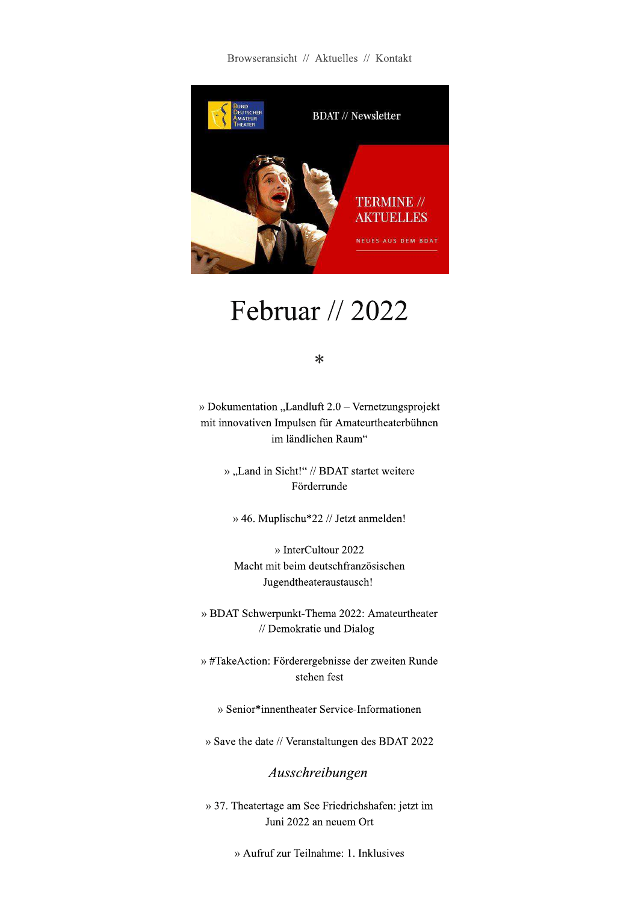Browseransicht // Aktuelles // Kontakt



# Februar // 2022

 $*$ 

» Dokumentation "Landluft  $2.0$  – Vernetzungsprojekt mit innovativen Impulsen für Amateurtheaterbühnen im ländlichen Raum"

> » "Land in Sicht!" // BDAT startet weitere Förderrunde

» 46. Muplischu\*22 // Jetzt anmelden!

» InterCultour 2022 Macht mit beim deutschfranzösischen Jugendtheateraustausch!

» BDAT Schwerpunkt-Thema 2022: Amateurtheater // Demokratie und Dialog

» #TakeAction: Förderergebnisse der zweiten Runde stehen fest

» Senior\*innentheater Service-Informationen

» Save the date // Veranstaltungen des BDAT 2022

Ausschreibungen

» 37. Theatertage am See Friedrichshafen: jetzt im Juni 2022 an neuem Ort

» Aufruf zur Teilnahme: 1. Inklusives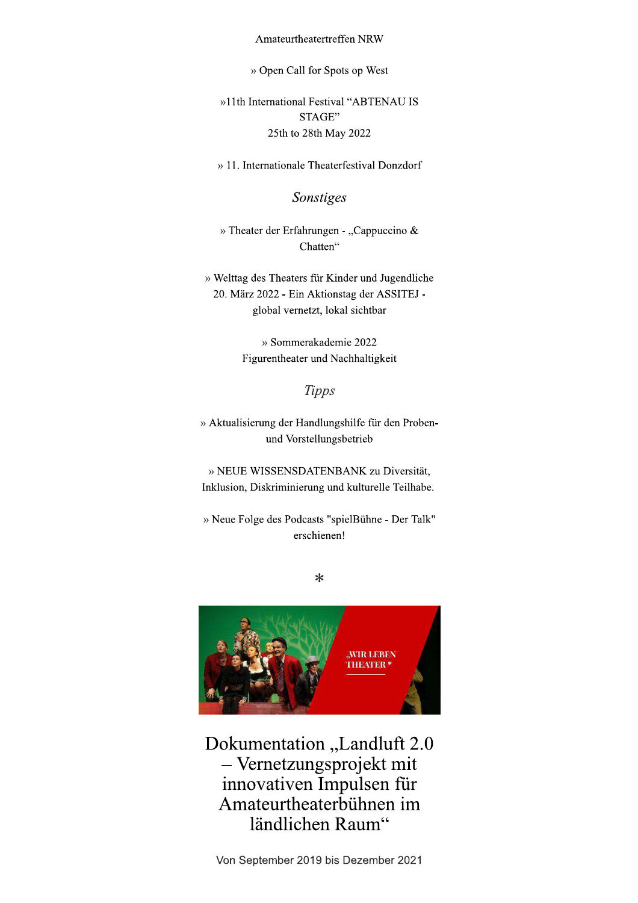#### Amateurtheatertreffen NRW

» Open Call for Spots op West

»11th International Festival "ABTENAU IS STAGE" 25th to 28th May 2022

» 11. Internationale Theaterfestival Donzdorf

#### Sonstiges

» Theater der Erfahrungen - "Cappuccino & Chatten"

» Welttag des Theaters für Kinder und Jugendliche 20. März 2022 - Ein Aktionstag der ASSITEJ global vernetzt, lokal sichtbar

> » Sommerakademie 2022 Figurentheater und Nachhaltigkeit

#### **Tipps**

» Aktualisierung der Handlungshilfe für den Probenund Vorstellungsbetrieb

» NEUE WISSENSDATENBANK zu Diversität, Inklusion, Diskriminierung und kulturelle Teilhabe.

» Neue Folge des Podcasts "spielBühne - Der Talk" erschienen!

 $\ast$ 



Dokumentation "Landluft 2.0 - Vernetzungsprojekt mit innovativen Impulsen für Amateurtheaterbühnen im ländlichen Raum"

Von September 2019 bis Dezember 2021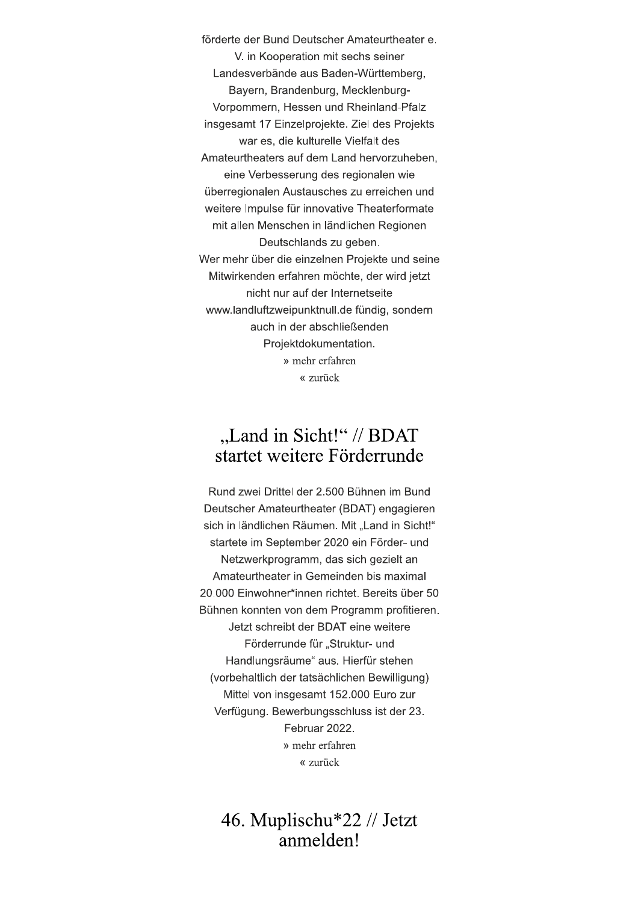förderte der Bund Deutscher Amateurtheater e. V. in Kooperation mit sechs seiner Landesverbände aus Baden-Württemberg, Bayern, Brandenburg, Mecklenburg-Vorpommern, Hessen und Rheinland-Pfalz insgesamt 17 Einzelprojekte. Ziel des Projekts war es, die kulturelle Vielfalt des Amateurtheaters auf dem Land hervorzuheben, eine Verbesserung des regionalen wie überregionalen Austausches zu erreichen und weitere Impulse für innovative Theaterformate mit allen Menschen in ländlichen Regionen Deutschlands zu geben. Wer mehr über die einzelnen Projekte und seine Mitwirkenden erfahren möchte, der wird jetzt nicht nur auf der Internetseite www.landluftzweipunktnull.de fündig, sondern auch in der abschließenden Projektdokumentation. » mehr erfahren « zurück

# "Land in Sicht!" // BDAT startet weitere Förderrunde

Rund zwei Drittel der 2.500 Bühnen im Bund Deutscher Amateurtheater (BDAT) engagieren sich in ländlichen Räumen. Mit "Land in Sicht!" startete im September 2020 ein Förder- und Netzwerkprogramm, das sich gezielt an Amateurtheater in Gemeinden bis maximal 20.000 Einwohner\*innen richtet. Bereits über 50 Bühnen konnten von dem Programm profitieren. Jetzt schreibt der BDAT eine weitere Förderrunde für "Struktur- und Handlungsräume" aus. Hierfür stehen (vorbehaltlich der tatsächlichen Bewilligung) Mittel von insgesamt 152.000 Euro zur Verfügung. Bewerbungsschluss ist der 23. Februar 2022. » mehr erfahren « zurück

### 46. Muplischu\*22 // Jetzt anmelden!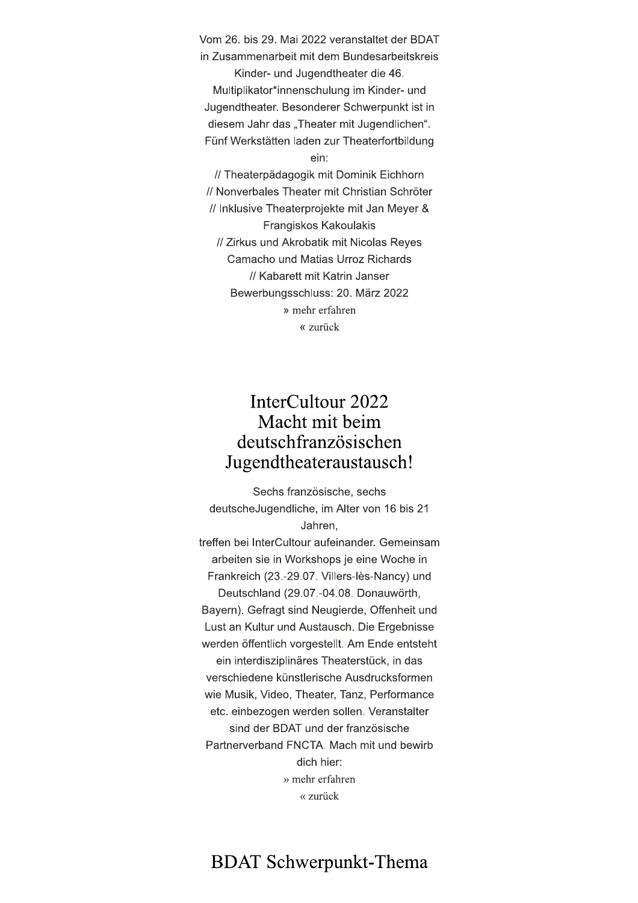Vom 26. bis 29. Mai 2022 veranstaltet der BDAT in Zusammenarbeit mit dem Bundesarbeitskreis

Kinder- und Jugendtheater die 46. Multiplikator\*innenschulung im Kinder- und Jugendtheater. Besonderer Schwerpunkt ist in diesem Jahr das "Theater mit Jugendlichen". Fünf Werkstätten laden zur Theaterfortbildung ein:

// Theaterpädagogik mit Dominik Eichhorn // Nonverbales Theater mit Christian Schröter // Inklusive Theaterprojekte mit Jan Meyer & Frangiskos Kakoulakis // Zirkus und Akrobatik mit Nicolas Reves Camacho und Matias Urroz Richards // Kabarett mit Katrin Janser Bewerbungsschluss: 20. März 2022 » mehr erfahren « zurück

#### InterCultour 2022 Macht mit beim deutschfranzösischen Jugendtheateraustausch!

Sechs französische, sechs deutsche Jugendliche, im Alter von 16 bis 21 Jahren. treffen bei InterCultour aufeinander. Gemeinsam arbeiten sie in Workshops je eine Woche in Frankreich (23.-29.07. Villers-lès-Nancy) und Deutschland (29.07.-04.08. Donauwörth. Bayern). Gefragt sind Neugierde, Offenheit und Lust an Kultur und Austausch. Die Ergebnisse werden öffentlich vorgestellt. Am Ende entsteht ein interdisziplinäres Theaterstück, in das verschiedene künstlerische Ausdrucksformen wie Musik, Video, Theater, Tanz, Performance etc. einbezogen werden sollen. Veranstalter sind der BDAT und der französische Partnerverband FNCTA, Mach mit und bewirb dich hier: » mehr erfahren « zurück

# **BDAT Schwerpunkt-Thema**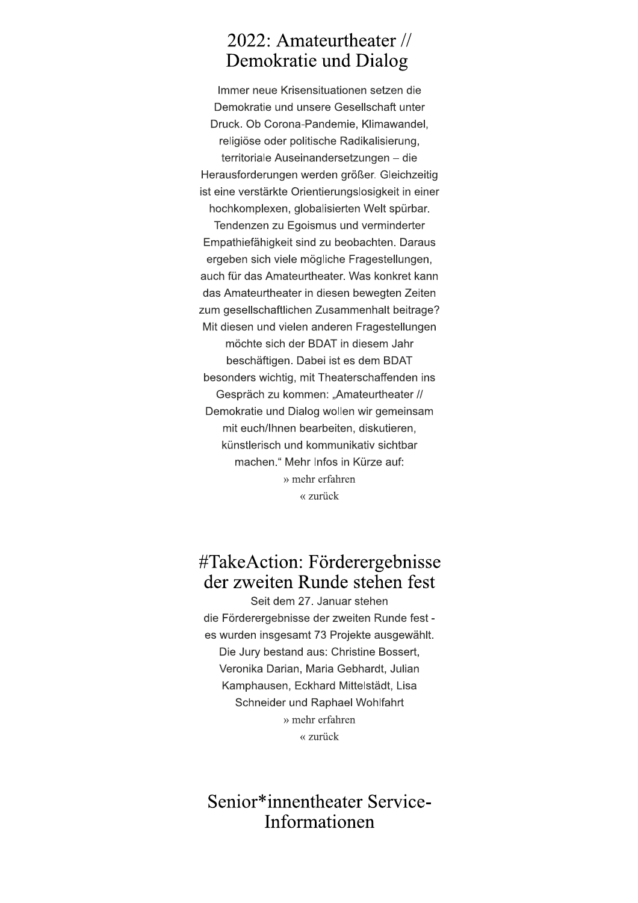#### 2022: Amateurtheater // Demokratie und Dialog

Immer neue Krisensituationen setzen die Demokratie und unsere Gesellschaft unter Druck. Ob Corona-Pandemie, Klimawandel, religiöse oder politische Radikalisierung, territoriale Auseinandersetzungen - die Herausforderungen werden größer. Gleichzeitig ist eine verstärkte Orientierungslosigkeit in einer hochkomplexen, globalisierten Welt spürbar. Tendenzen zu Egoismus und verminderter Empathiefähigkeit sind zu beobachten. Daraus ergeben sich viele mögliche Fragestellungen, auch für das Amateurtheater. Was konkret kann das Amateurtheater in diesen bewegten Zeiten zum gesellschaftlichen Zusammenhalt beitrage? Mit diesen und vielen anderen Fragestellungen möchte sich der BDAT in diesem Jahr beschäftigen. Dabei ist es dem BDAT besonders wichtig, mit Theaterschaffenden ins Gespräch zu kommen: "Amateurtheater // Demokratie und Dialog wollen wir gemeinsam mit euch/Ihnen bearbeiten, diskutieren, künstlerisch und kommunikativ sichtbar machen." Mehr Infos in Kürze auf: » mehr erfahren « zurück

# #TakeAction: Förderergebnisse der zweiten Runde stehen fest

Seit dem 27. Januar stehen die Förderergebnisse der zweiten Runde fest es wurden insgesamt 73 Projekte ausgewählt. Die Jury bestand aus: Christine Bossert, Veronika Darian, Maria Gebhardt, Julian Kamphausen, Eckhard Mittelstädt, Lisa Schneider und Raphael Wohlfahrt » mehr erfahren « zurück

#### Senior\*innentheater Service-Informationen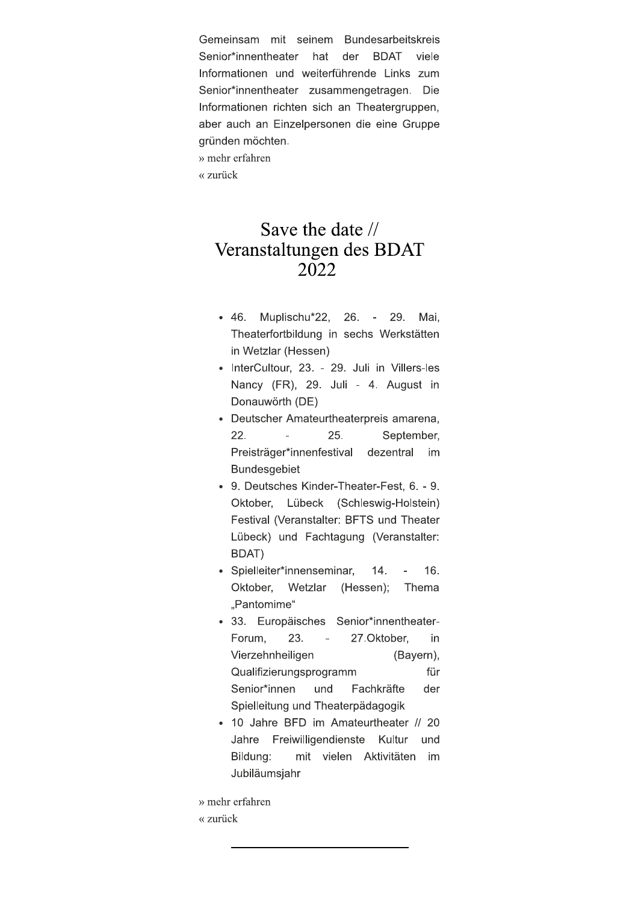Gemeinsam mit seinem Bundesarbeitskreis Senior\*innentheater hat der **BDAT** viele Informationen und weiterführende Links zum Senior\*innentheater zusammengetragen. Die Informationen richten sich an Theatergruppen, aber auch an Einzelpersonen die eine Gruppe gründen möchten.

» mehr erfahren

« zurück

### Save the date // Veranstaltungen des BDAT 2022

- $-46.$ Muplischu\*22,  $26. -$ 29. Mai, Theaterfortbildung in sechs Werkstätten in Wetzlar (Hessen)
- · InterCultour, 23. 29. Juli in Villers-les Nancy (FR), 29. Juli - 4. August in Donauwörth (DE)
- Deutscher Amateurtheaterpreis amarena, 25. 22. September, Preisträger\*innenfestival dezentral im **Bundesgebiet**
- 9. Deutsches Kinder-Theater-Fest, 6. 9. Oktober, Lübeck (Schleswig-Holstein) Festival (Veranstalter: BFTS und Theater Lübeck) und Fachtagung (Veranstalter: BDAT)
- · Spielleiter\*innenseminar,  $14.$  $\overline{a}$ 16. Oktober. Wetzlar (Hessen); Thema "Pantomime"
- · 33. Europäisches Senior\*innentheater-Forum. 23.  $\overline{\phantom{a}}$ 27.Oktober. in Vierzehnheiligen (Bayern), Qualifizierungsprogramm für Senior\*innen und Fachkräfte der Spielleitung und Theaterpädagogik
- 10 Jahre BFD im Amateurtheater // 20 Jahre Freiwilligendienste Kultur und Bildung: mit vielen Aktivitäten im Jubiläumsiahr

» mehr erfahren « zurück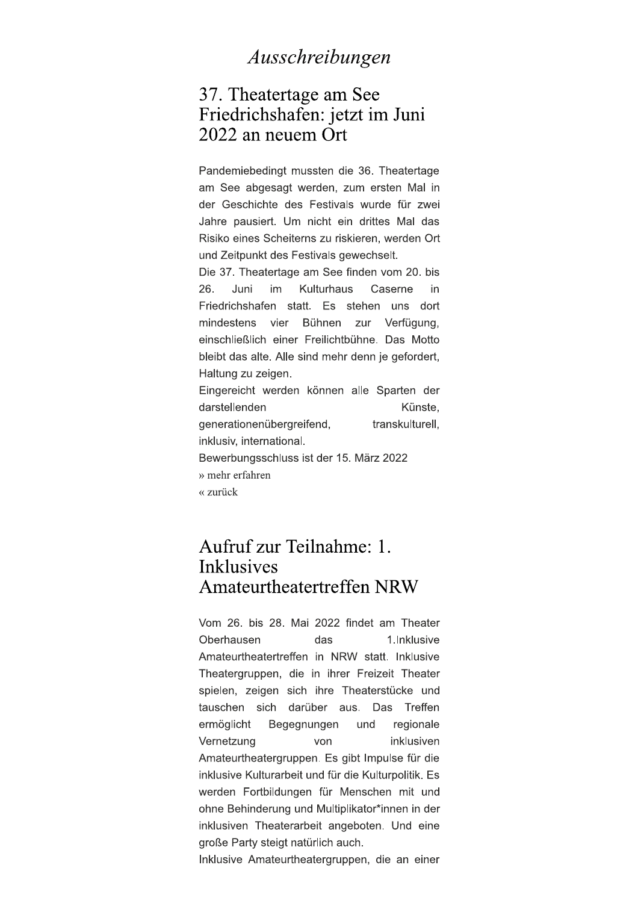#### Ausschreibungen

#### 37. Theatertage am See Friedrichshafen: jetzt im Juni 2022 an neuem Ort

Pandemiebedingt mussten die 36. Theatertage am See abgesagt werden, zum ersten Mal in der Geschichte des Festivals wurde für zwei Jahre pausiert. Um nicht ein drittes Mal das Risiko eines Scheiterns zu riskieren, werden Ort und Zeitpunkt des Festivals gewechselt.

Die 37. Theatertage am See finden vom 20. bis 26. Juni im Kulturhaus Caserne in Friedrichshafen statt. Es stehen uns dort mindestens vier Bühnen zur Verfügung, einschließlich einer Freilichtbühne. Das Motto bleibt das alte. Alle sind mehr denn je gefordert, Haltung zu zeigen. Eingereicht werden können alle Sparten der

darstellenden Künste. generationenübergreifend, transkulturell. inklusiv, international. Bewerbungsschluss ist der 15. März 2022 » mehr erfahren

« zurück

#### Aufruf zur Teilnahme: 1. **Inklusives** Amateurtheatertreffen NRW

Vom 26. bis 28. Mai 2022 findet am Theater Oberhausen das 1.Inklusive Amateurtheatertreffen in NRW statt. Inklusive Theatergruppen, die in ihrer Freizeit Theater spielen, zeigen sich ihre Theaterstücke und tauschen sich darüber aus. Das Treffen ermöglicht Begegnungen und regionale Vernetzung von inklusiven Amateurtheatergruppen. Es gibt Impulse für die inklusive Kulturarbeit und für die Kulturpolitik. Es werden Fortbildungen für Menschen mit und ohne Behinderung und Multiplikator\*innen in der inklusiven Theaterarbeit angeboten. Und eine große Party steigt natürlich auch.

Inklusive Amateurtheatergruppen, die an einer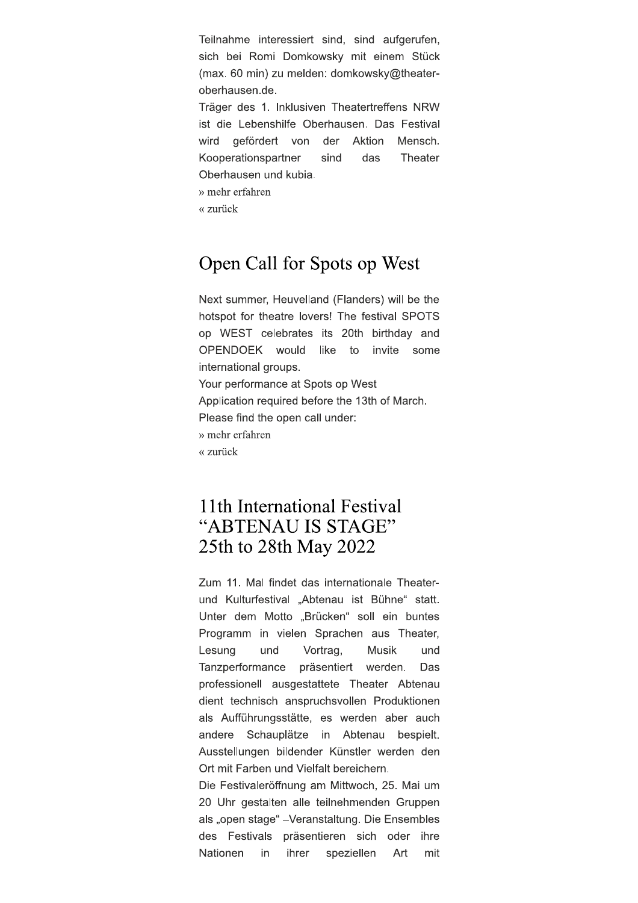Teilnahme interessiert sind, sind aufgerufen, sich bei Romi Domkowsky mit einem Stück (max. 60 min) zu melden: domkowsky@theateroberhausen.de.

Träger des 1. Inklusiven Theatertreffens NRW ist die Lebenshilfe Oberhausen. Das Festival wird gefördert von der Aktion Mensch. Kooperationspartner das Theater sind Oberhausen und kubia.

» mehr erfahren

 $\alpha$  zurück

### Open Call for Spots op West

Next summer, Heuvelland (Flanders) will be the hotspot for theatre lovers! The festival SPOTS op WEST celebrates its 20th birthday and OPENDOEK would like invite some to international groups. Your performance at Spots op West Application required before the 13th of March. Please find the open call under: » mehr erfahren « zurück

### 11th International Festival "ABTENAU IS STAGE" 25th to 28th May 2022

Zum 11. Mal findet das internationale Theaterund Kulturfestival "Abtenau ist Bühne" statt. Unter dem Motto "Brücken" soll ein buntes Programm in vielen Sprachen aus Theater, Lesung und Vortrag, **Musik** und Tanzperformance präsentiert werden. Das professionell ausgestattete Theater Abtenau dient technisch anspruchsvollen Produktionen als Aufführungsstätte, es werden aber auch andere Schauplätze in Abtenau bespielt. Ausstellungen bildender Künstler werden den Ort mit Farben und Vielfalt bereichern.

Die Festivaleröffnung am Mittwoch, 25. Mai um 20 Uhr gestalten alle teilnehmenden Gruppen als "open stage" - Veranstaltung. Die Ensembles des Festivals präsentieren sich oder ihre Nationen in ihrer speziellen Art mit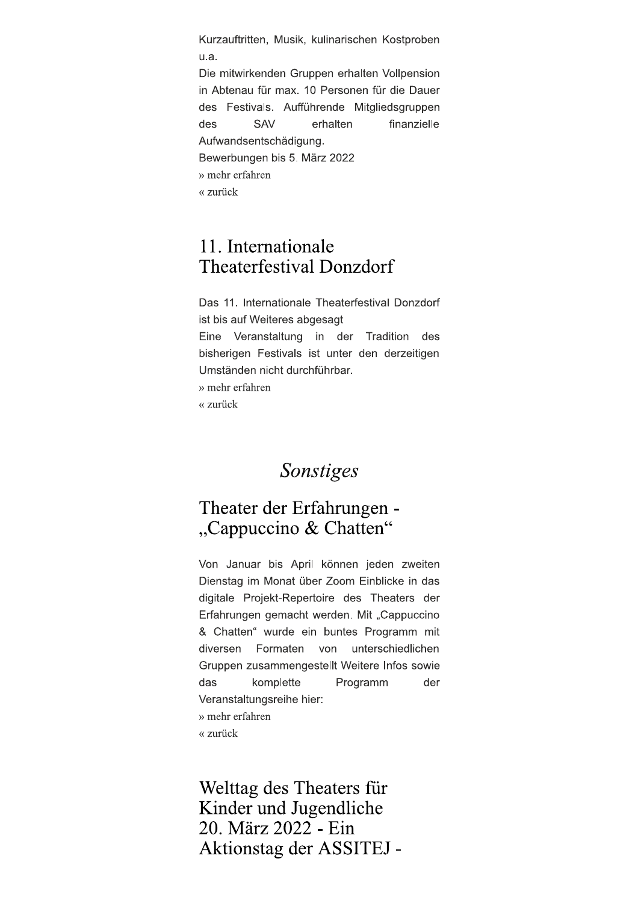Kurzauftritten, Musik, kulinarischen Kostproben u.a.

Die mitwirkenden Gruppen erhalten Vollpension in Abtenau für max. 10 Personen für die Dauer des Festivals. Aufführende Mitgliedsgruppen **SAV** erhalten finanzielle des Aufwandsentschädigung. Bewerbungen bis 5. März 2022 » mehr erfahren « zurück

#### 11. Internationale **Theaterfestival Donzdorf**

Das 11. Internationale Theaterfestival Donzdorf ist bis auf Weiteres abgesagt Eine Veranstaltung in der Tradition des bisherigen Festivals ist unter den derzeitigen Umständen nicht durchführbar. » mehr erfahren « zurück

#### Sonstiges

#### Theater der Erfahrungen -"Cappuccino & Chatten"

Von Januar bis April können jeden zweiten Dienstag im Monat über Zoom Einblicke in das digitale Projekt-Repertoire des Theaters der Erfahrungen gemacht werden. Mit "Cappuccino & Chatten" wurde ein buntes Programm mit diversen Formaten von unterschiedlichen Gruppen zusammengestellt Weitere Infos sowie das komplette Programm der Veranstaltungsreihe hier: » mehr erfahren

« zurück

Welttag des Theaters für Kinder und Jugendliche 20. März 2022 - Ein Aktionstag der ASSITEJ -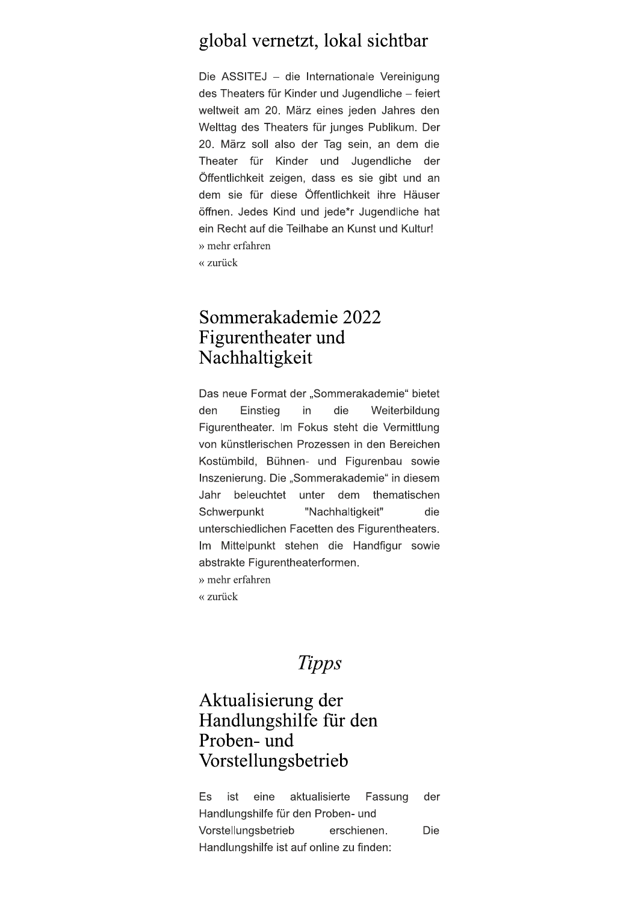#### global vernetzt, lokal sichtbar

Die ASSITEJ - die Internationale Vereinigung des Theaters für Kinder und Jugendliche - feiert weltweit am 20. März eines jeden Jahres den Welttag des Theaters für junges Publikum. Der 20. März soll also der Tag sein, an dem die Theater für Kinder und Jugendliche der Öffentlichkeit zeigen, dass es sie gibt und an dem sie für diese Öffentlichkeit ihre Häuser öffnen. Jedes Kind und jede\*r Jugendliche hat ein Recht auf die Teilhabe an Kunst und Kultur! » mehr erfahren « zurück

#### Sommerakademie 2022 Figurentheater und Nachhaltigkeit

Das neue Format der "Sommerakademie" bietet den Einstieg in die Weiterbildung Figurentheater. Im Fokus steht die Vermittlung von künstlerischen Prozessen in den Bereichen Kostümbild, Bühnen- und Figurenbau sowie Inszenierung. Die "Sommerakademie" in diesem Jahr beleuchtet unter dem thematischen Schwerpunkt "Nachhaltigkeit" die unterschiedlichen Facetten des Figurentheaters. Im Mittelpunkt stehen die Handfigur sowie abstrakte Figurentheaterformen. » mehr erfahren

« zurück

### **Tipps**

### Aktualisierung der Handlungshilfe für den Proben- und Vorstellungsbetrieb

Es ist eine aktualisierte Fassung der Handlungshilfe für den Proben- und Vorstellungsbetrieb erschienen. Die Handlungshilfe ist auf online zu finden: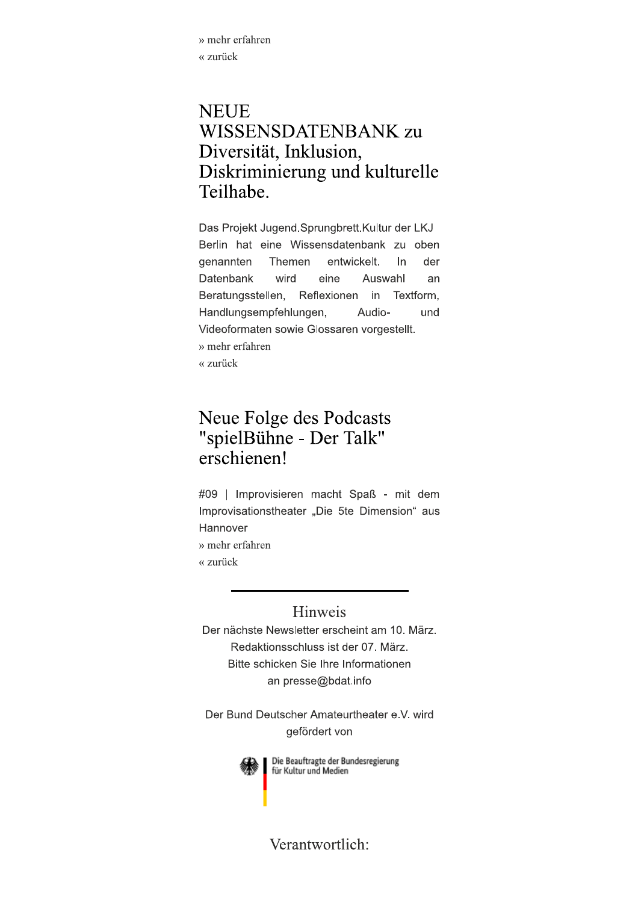» mehr erfahren « zurück

### **NEUE** WISSENSDATENBANK zu Diversität, Inklusion, Diskriminierung und kulturelle Teilhabe.

Das Projekt Jugend.Sprungbrett.Kultur der LKJ Berlin hat eine Wissensdatenbank zu oben genannten Themen entwickelt.  $\ln$ der wird Datenbank eine Auswahl an Beratungsstellen, Reflexionen in Textform, Handlungsempfehlungen, Audiound Videoformaten sowie Glossaren vorgestellt. » mehr erfahren « zurück

### Neue Folge des Podcasts "spielBühne - Der Talk" erschienen!

#09 | Improvisieren macht Spaß - mit dem Improvisationstheater "Die 5te Dimension" aus Hannover

» mehr erfahren

« zurück

#### Hinweis

Der nächste Newsletter erscheint am 10. März. Redaktionsschluss ist der 07. März. Bitte schicken Sie Ihre Informationen an presse@bdat.info

Der Bund Deutscher Amateurtheater e.V. wird gefördert von



Die Beauftragte der Bundesregierung für Kultur und Medien

Verantwortlich: